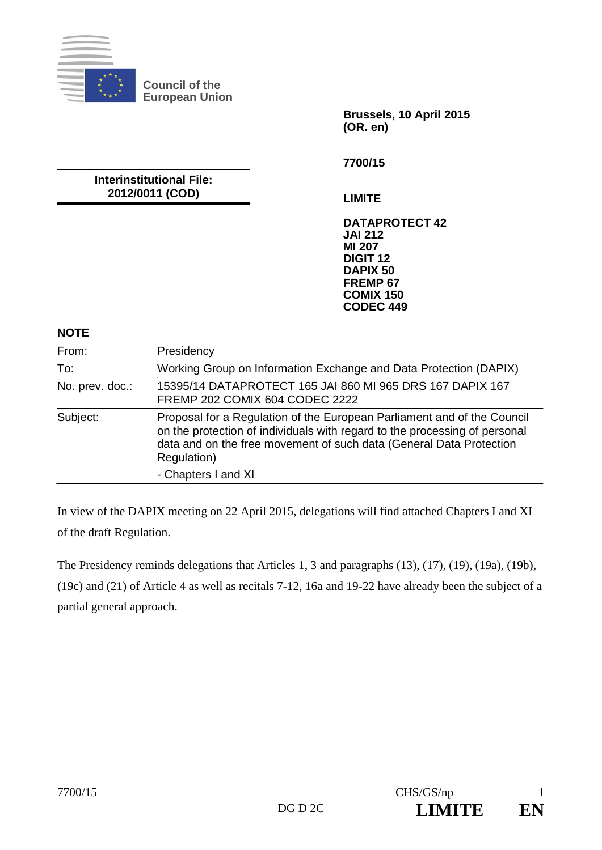

**Brussels, 10 April 2015 (OR. en)** 

**Interinstitutional File: 2012/0011 (COD)** 

**7700/15** 

**LIMITE** 

**DATAPROTECT 42 JAI 212 MI 207 DIGIT 12 DAPIX 50 FREMP 67 COMIX 150 CODEC 449**

**NOTE** 

| From:           | Presidency                                                                                                                                                                                                                                  |
|-----------------|---------------------------------------------------------------------------------------------------------------------------------------------------------------------------------------------------------------------------------------------|
| To:             | Working Group on Information Exchange and Data Protection (DAPIX)                                                                                                                                                                           |
| No. prev. doc.: | 15395/14 DATAPROTECT 165 JAI 860 MI 965 DRS 167 DAPIX 167<br>FREMP 202 COMIX 604 CODEC 2222                                                                                                                                                 |
| Subject:        | Proposal for a Regulation of the European Parliament and of the Council<br>on the protection of individuals with regard to the processing of personal<br>data and on the free movement of such data (General Data Protection<br>Regulation) |
|                 | - Chapters I and XI                                                                                                                                                                                                                         |

In view of the DAPIX meeting on 22 April 2015, delegations will find attached Chapters I and XI of the draft Regulation.

The Presidency reminds delegations that Articles 1, 3 and paragraphs (13), (17), (19), (19a), (19b),

(19c) and (21) of Article 4 as well as recitals 7-12, 16a and 19-22 have already been the subject of a partial general approach.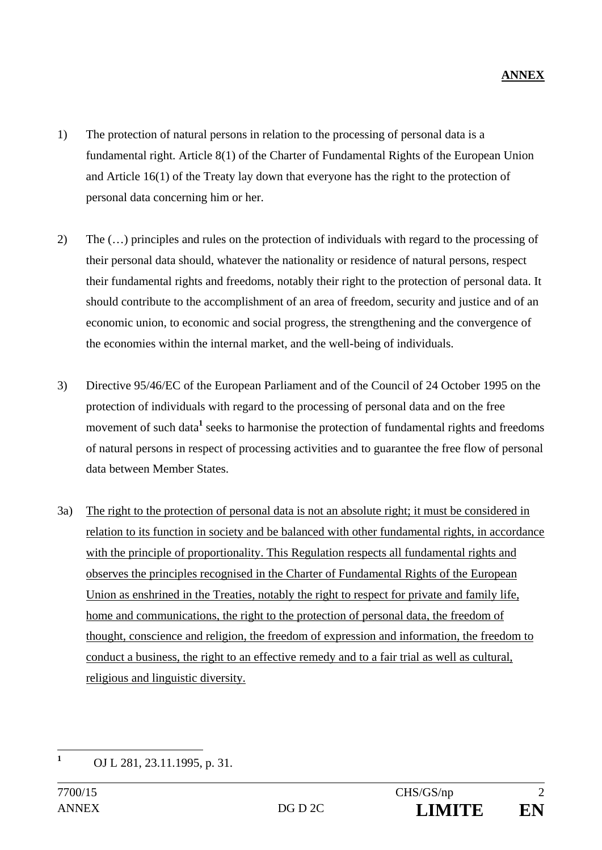- 1) The protection of natural persons in relation to the processing of personal data is a fundamental right. Article 8(1) of the Charter of Fundamental Rights of the European Union and Article 16(1) of the Treaty lay down that everyone has the right to the protection of personal data concerning him or her.
- 2) The (…) principles and rules on the protection of individuals with regard to the processing of their personal data should, whatever the nationality or residence of natural persons, respect their fundamental rights and freedoms, notably their right to the protection of personal data. It should contribute to the accomplishment of an area of freedom, security and justice and of an economic union, to economic and social progress, the strengthening and the convergence of the economies within the internal market, and the well-being of individuals.
- 3) Directive 95/46/EC of the European Parliament and of the Council of 24 October 1995 on the protection of individuals with regard to the processing of personal data and on the free movement of such data<sup>1</sup> seeks to harmonise the protection of fundamental rights and freedoms of natural persons in respect of processing activities and to guarantee the free flow of personal data between Member States.
- 3a) The right to the protection of personal data is not an absolute right; it must be considered in relation to its function in society and be balanced with other fundamental rights, in accordance with the principle of proportionality. This Regulation respects all fundamental rights and observes the principles recognised in the Charter of Fundamental Rights of the European Union as enshrined in the Treaties, notably the right to respect for private and family life, home and communications, the right to the protection of personal data, the freedom of thought, conscience and religion, the freedom of expression and information, the freedom to conduct a business, the right to an effective remedy and to a fair trial as well as cultural, religious and linguistic diversity.

 **1** OJ L 281, 23.11.1995, p. 31.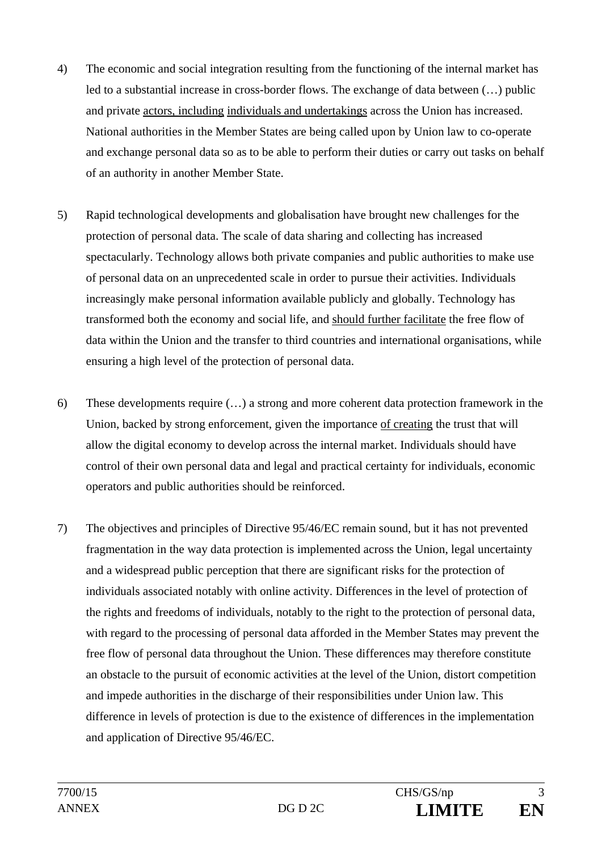- 4) The economic and social integration resulting from the functioning of the internal market has led to a substantial increase in cross-border flows. The exchange of data between (…) public and private actors, including individuals and undertakings across the Union has increased. National authorities in the Member States are being called upon by Union law to co-operate and exchange personal data so as to be able to perform their duties or carry out tasks on behalf of an authority in another Member State.
- 5) Rapid technological developments and globalisation have brought new challenges for the protection of personal data. The scale of data sharing and collecting has increased spectacularly. Technology allows both private companies and public authorities to make use of personal data on an unprecedented scale in order to pursue their activities. Individuals increasingly make personal information available publicly and globally. Technology has transformed both the economy and social life, and should further facilitate the free flow of data within the Union and the transfer to third countries and international organisations, while ensuring a high level of the protection of personal data.
- 6) These developments require (…) a strong and more coherent data protection framework in the Union, backed by strong enforcement, given the importance of creating the trust that will allow the digital economy to develop across the internal market. Individuals should have control of their own personal data and legal and practical certainty for individuals, economic operators and public authorities should be reinforced.
- 7) The objectives and principles of Directive 95/46/EC remain sound, but it has not prevented fragmentation in the way data protection is implemented across the Union, legal uncertainty and a widespread public perception that there are significant risks for the protection of individuals associated notably with online activity. Differences in the level of protection of the rights and freedoms of individuals, notably to the right to the protection of personal data, with regard to the processing of personal data afforded in the Member States may prevent the free flow of personal data throughout the Union. These differences may therefore constitute an obstacle to the pursuit of economic activities at the level of the Union, distort competition and impede authorities in the discharge of their responsibilities under Union law. This difference in levels of protection is due to the existence of differences in the implementation and application of Directive 95/46/EC.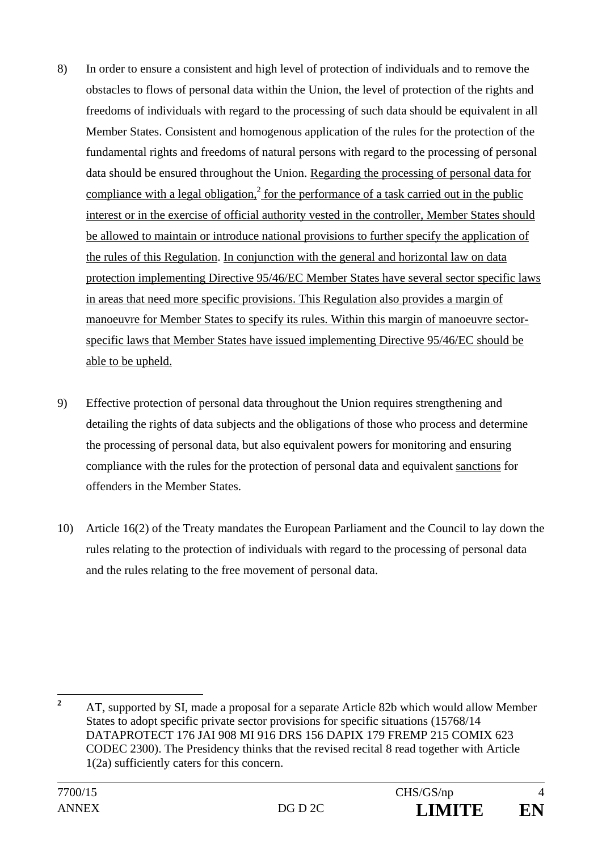- 8) In order to ensure a consistent and high level of protection of individuals and to remove the obstacles to flows of personal data within the Union, the level of protection of the rights and freedoms of individuals with regard to the processing of such data should be equivalent in all Member States. Consistent and homogenous application of the rules for the protection of the fundamental rights and freedoms of natural persons with regard to the processing of personal data should be ensured throughout the Union. Regarding the processing of personal data for compliance with a legal obligation,<sup>2</sup> for the performance of a task carried out in the public interest or in the exercise of official authority vested in the controller, Member States should be allowed to maintain or introduce national provisions to further specify the application of the rules of this Regulation. In conjunction with the general and horizontal law on data protection implementing Directive 95/46/EC Member States have several sector specific laws in areas that need more specific provisions. This Regulation also provides a margin of manoeuvre for Member States to specify its rules. Within this margin of manoeuvre sectorspecific laws that Member States have issued implementing Directive 95/46/EC should be able to be upheld.
- 9) Effective protection of personal data throughout the Union requires strengthening and detailing the rights of data subjects and the obligations of those who process and determine the processing of personal data, but also equivalent powers for monitoring and ensuring compliance with the rules for the protection of personal data and equivalent sanctions for offenders in the Member States.
- 10) Article 16(2) of the Treaty mandates the European Parliament and the Council to lay down the rules relating to the protection of individuals with regard to the processing of personal data and the rules relating to the free movement of personal data.

 **2** AT, supported by SI, made a proposal for a separate Article 82b which would allow Member States to adopt specific private sector provisions for specific situations (15768/14 DATAPROTECT 176 JAI 908 MI 916 DRS 156 DAPIX 179 FREMP 215 COMIX 623 CODEC 2300). The Presidency thinks that the revised recital 8 read together with Article 1(2a) sufficiently caters for this concern.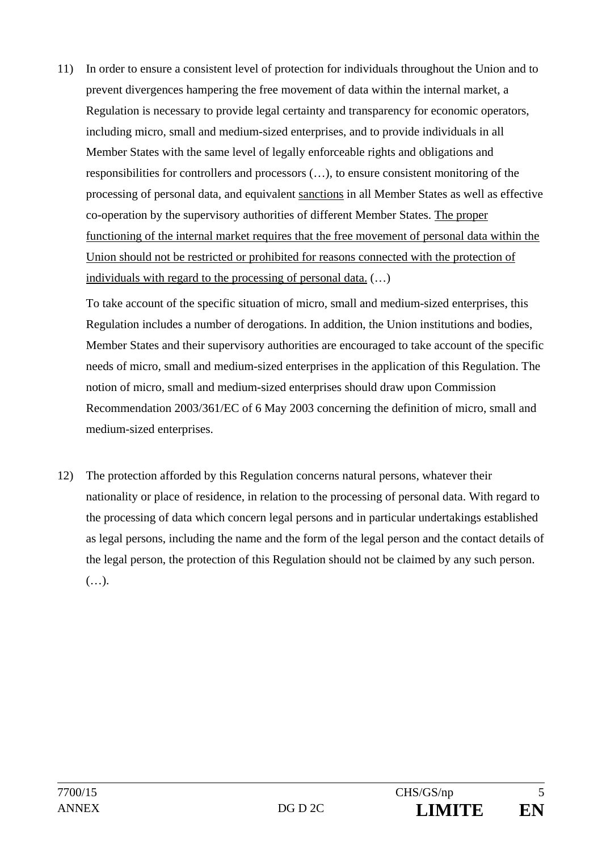11) In order to ensure a consistent level of protection for individuals throughout the Union and to prevent divergences hampering the free movement of data within the internal market, a Regulation is necessary to provide legal certainty and transparency for economic operators, including micro, small and medium-sized enterprises, and to provide individuals in all Member States with the same level of legally enforceable rights and obligations and responsibilities for controllers and processors (…), to ensure consistent monitoring of the processing of personal data, and equivalent sanctions in all Member States as well as effective co-operation by the supervisory authorities of different Member States. The proper functioning of the internal market requires that the free movement of personal data within the Union should not be restricted or prohibited for reasons connected with the protection of individuals with regard to the processing of personal data. (…)

To take account of the specific situation of micro, small and medium-sized enterprises, this Regulation includes a number of derogations. In addition, the Union institutions and bodies, Member States and their supervisory authorities are encouraged to take account of the specific needs of micro, small and medium-sized enterprises in the application of this Regulation. The notion of micro, small and medium-sized enterprises should draw upon Commission Recommendation 2003/361/EC of 6 May 2003 concerning the definition of micro, small and medium-sized enterprises.

12) The protection afforded by this Regulation concerns natural persons, whatever their nationality or place of residence, in relation to the processing of personal data. With regard to the processing of data which concern legal persons and in particular undertakings established as legal persons, including the name and the form of the legal person and the contact details of the legal person, the protection of this Regulation should not be claimed by any such person. (…).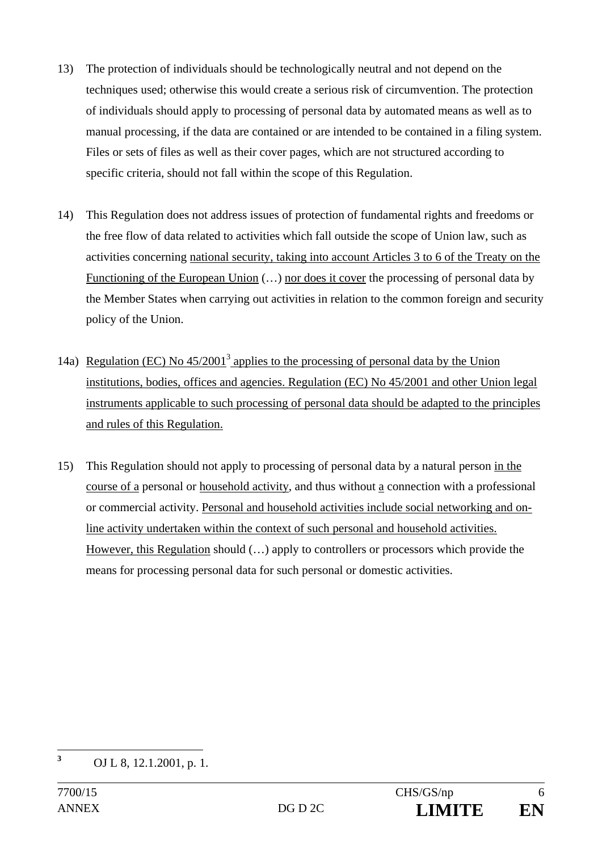- 13) The protection of individuals should be technologically neutral and not depend on the techniques used; otherwise this would create a serious risk of circumvention. The protection of individuals should apply to processing of personal data by automated means as well as to manual processing, if the data are contained or are intended to be contained in a filing system. Files or sets of files as well as their cover pages, which are not structured according to specific criteria, should not fall within the scope of this Regulation.
- 14) This Regulation does not address issues of protection of fundamental rights and freedoms or the free flow of data related to activities which fall outside the scope of Union law, such as activities concerning national security, taking into account Articles 3 to 6 of the Treaty on the Functioning of the European Union (...) nor does it cover the processing of personal data by the Member States when carrying out activities in relation to the common foreign and security policy of the Union.
- 14a) Regulation (EC) No  $45/2001^3$  applies to the processing of personal data by the Union institutions, bodies, offices and agencies. Regulation (EC) No 45/2001 and other Union legal instruments applicable to such processing of personal data should be adapted to the principles and rules of this Regulation.
- 15) This Regulation should not apply to processing of personal data by a natural person in the course of a personal or household activity, and thus without a connection with a professional or commercial activity. Personal and household activities include social networking and online activity undertaken within the context of such personal and household activities. However, this Regulation should (…) apply to controllers or processors which provide the means for processing personal data for such personal or domestic activities.

 **3** OJ L 8, 12.1.2001, p. 1.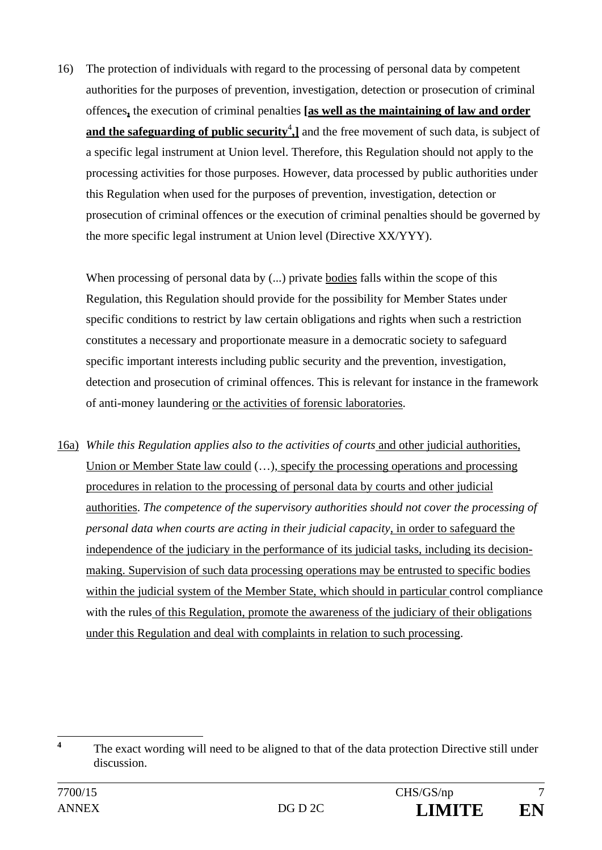16) The protection of individuals with regard to the processing of personal data by competent authorities for the purposes of prevention, investigation, detection or prosecution of criminal offences**,** the execution of criminal penalties **[as well as the maintaining of law and order**  and the safeguarding of public security<sup>4</sup>, and the free movement of such data, is subject of a specific legal instrument at Union level. Therefore, this Regulation should not apply to the processing activities for those purposes. However, data processed by public authorities under this Regulation when used for the purposes of prevention, investigation, detection or prosecution of criminal offences or the execution of criminal penalties should be governed by the more specific legal instrument at Union level (Directive XX/YYY).

When processing of personal data by  $(...)$  private bodies falls within the scope of this Regulation, this Regulation should provide for the possibility for Member States under specific conditions to restrict by law certain obligations and rights when such a restriction constitutes a necessary and proportionate measure in a democratic society to safeguard specific important interests including public security and the prevention, investigation, detection and prosecution of criminal offences. This is relevant for instance in the framework of anti-money laundering or the activities of forensic laboratories.

16a) *While this Regulation applies also to the activities of courts* and other judicial authorities, Union or Member State law could (…), specify the processing operations and processing procedures in relation to the processing of personal data by courts and other judicial authorities. *The competence of the supervisory authorities should not cover the processing of personal data when courts are acting in their judicial capacity*, in order to safeguard the independence of the judiciary in the performance of its judicial tasks, including its decisionmaking. Supervision of such data processing operations may be entrusted to specific bodies within the judicial system of the Member State, which should in particular control compliance with the rules of this Regulation, promote the awareness of the judiciary of their obligations under this Regulation and deal with complaints in relation to such processing.

 **4** The exact wording will need to be aligned to that of the data protection Directive still under discussion.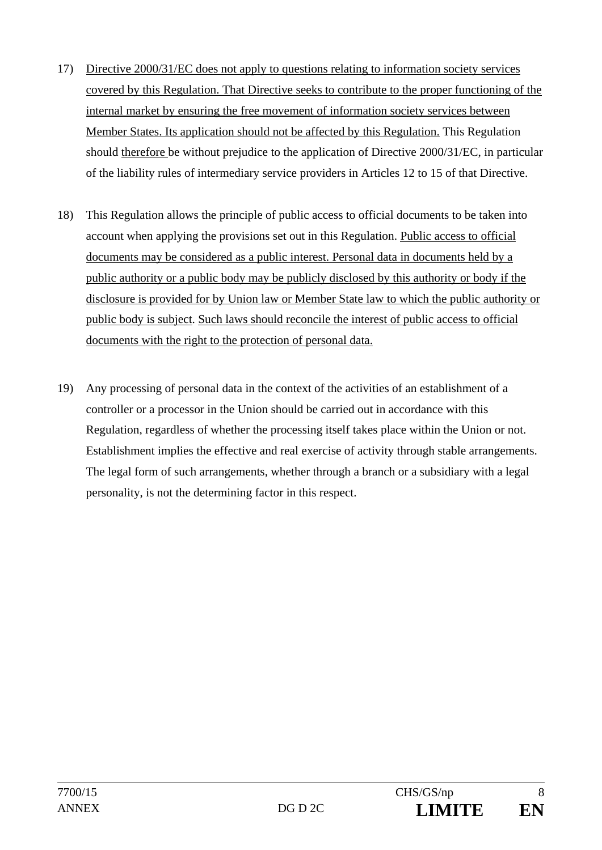- 17) Directive 2000/31/EC does not apply to questions relating to information society services covered by this Regulation. That Directive seeks to contribute to the proper functioning of the internal market by ensuring the free movement of information society services between Member States. Its application should not be affected by this Regulation. This Regulation should therefore be without prejudice to the application of Directive 2000/31/EC, in particular of the liability rules of intermediary service providers in Articles 12 to 15 of that Directive.
- 18) This Regulation allows the principle of public access to official documents to be taken into account when applying the provisions set out in this Regulation. Public access to official documents may be considered as a public interest. Personal data in documents held by a public authority or a public body may be publicly disclosed by this authority or body if the disclosure is provided for by Union law or Member State law to which the public authority or public body is subject. Such laws should reconcile the interest of public access to official documents with the right to the protection of personal data.
- 19) Any processing of personal data in the context of the activities of an establishment of a controller or a processor in the Union should be carried out in accordance with this Regulation, regardless of whether the processing itself takes place within the Union or not. Establishment implies the effective and real exercise of activity through stable arrangements. The legal form of such arrangements, whether through a branch or a subsidiary with a legal personality, is not the determining factor in this respect.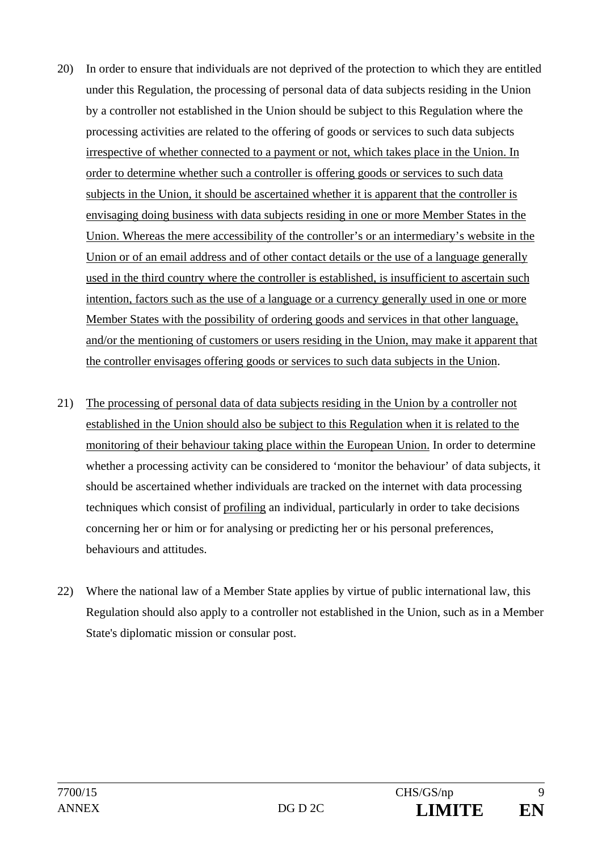- 20) In order to ensure that individuals are not deprived of the protection to which they are entitled under this Regulation, the processing of personal data of data subjects residing in the Union by a controller not established in the Union should be subject to this Regulation where the processing activities are related to the offering of goods or services to such data subjects irrespective of whether connected to a payment or not, which takes place in the Union. In order to determine whether such a controller is offering goods or services to such data subjects in the Union, it should be ascertained whether it is apparent that the controller is envisaging doing business with data subjects residing in one or more Member States in the Union. Whereas the mere accessibility of the controller's or an intermediary's website in the Union or of an email address and of other contact details or the use of a language generally used in the third country where the controller is established, is insufficient to ascertain such intention, factors such as the use of a language or a currency generally used in one or more Member States with the possibility of ordering goods and services in that other language, and/or the mentioning of customers or users residing in the Union, may make it apparent that the controller envisages offering goods or services to such data subjects in the Union.
- 21) The processing of personal data of data subjects residing in the Union by a controller not established in the Union should also be subject to this Regulation when it is related to the monitoring of their behaviour taking place within the European Union. In order to determine whether a processing activity can be considered to 'monitor the behaviour' of data subjects, it should be ascertained whether individuals are tracked on the internet with data processing techniques which consist of profiling an individual, particularly in order to take decisions concerning her or him or for analysing or predicting her or his personal preferences, behaviours and attitudes.
- 22) Where the national law of a Member State applies by virtue of public international law, this Regulation should also apply to a controller not established in the Union, such as in a Member State's diplomatic mission or consular post.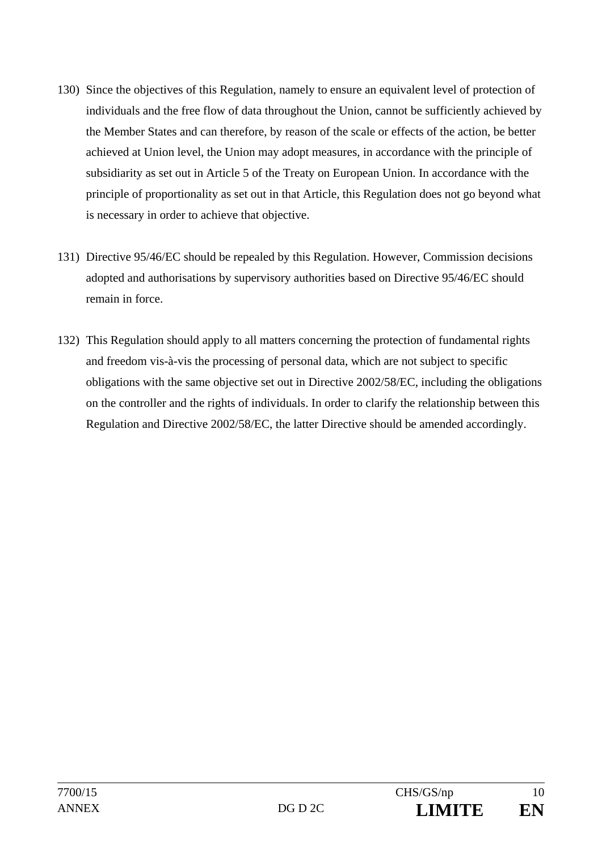- 130) Since the objectives of this Regulation, namely to ensure an equivalent level of protection of individuals and the free flow of data throughout the Union, cannot be sufficiently achieved by the Member States and can therefore, by reason of the scale or effects of the action, be better achieved at Union level, the Union may adopt measures, in accordance with the principle of subsidiarity as set out in Article 5 of the Treaty on European Union. In accordance with the principle of proportionality as set out in that Article, this Regulation does not go beyond what is necessary in order to achieve that objective.
- 131) Directive 95/46/EC should be repealed by this Regulation. However, Commission decisions adopted and authorisations by supervisory authorities based on Directive 95/46/EC should remain in force.
- 132) This Regulation should apply to all matters concerning the protection of fundamental rights and freedom vis-à-vis the processing of personal data, which are not subject to specific obligations with the same objective set out in Directive 2002/58/EC, including the obligations on the controller and the rights of individuals. In order to clarify the relationship between this Regulation and Directive 2002/58/EC, the latter Directive should be amended accordingly.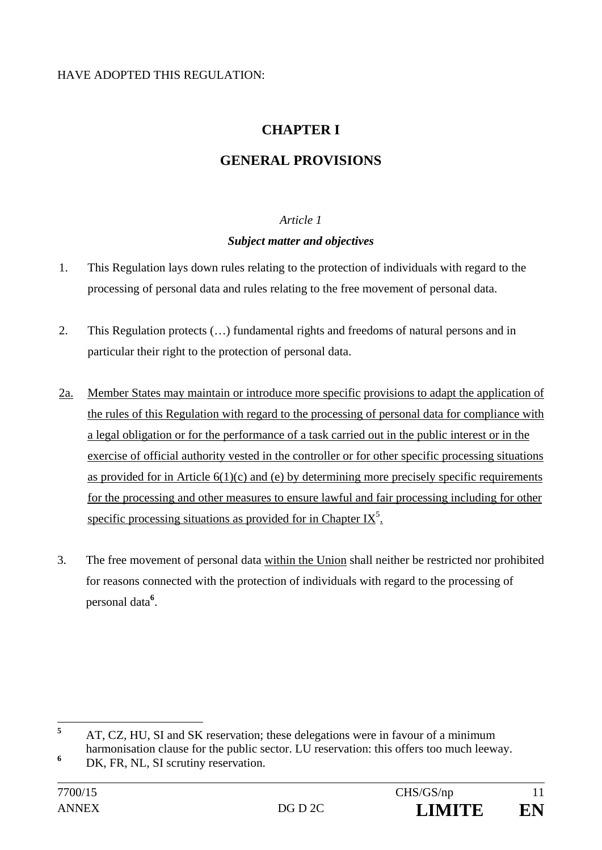### HAVE ADOPTED THIS REGULATION:

# **CHAPTER I**

# **GENERAL PROVISIONS**

## *Article 1*

### *Subject matter and objectives*

- 1. This Regulation lays down rules relating to the protection of individuals with regard to the processing of personal data and rules relating to the free movement of personal data.
- 2. This Regulation protects (…) fundamental rights and freedoms of natural persons and in particular their right to the protection of personal data.
- 2a. Member States may maintain or introduce more specific provisions to adapt the application of the rules of this Regulation with regard to the processing of personal data for compliance with a legal obligation or for the performance of a task carried out in the public interest or in the exercise of official authority vested in the controller or for other specific processing situations as provided for in Article  $6(1)(c)$  and (e) by determining more precisely specific requirements for the processing and other measures to ensure lawful and fair processing including for other specific processing situations as provided for in Chapter IX<sup>5</sup>.
- 3. The free movement of personal data within the Union shall neither be restricted nor prohibited for reasons connected with the protection of individuals with regard to the processing of personal data**<sup>6</sup>** .

 **5** AT, CZ, HU, SI and SK reservation; these delegations were in favour of a minimum harmonisation clause for the public sector. LU reservation: this offers too much leeway.

**<sup>6</sup>** DK, FR, NL, SI scrutiny reservation.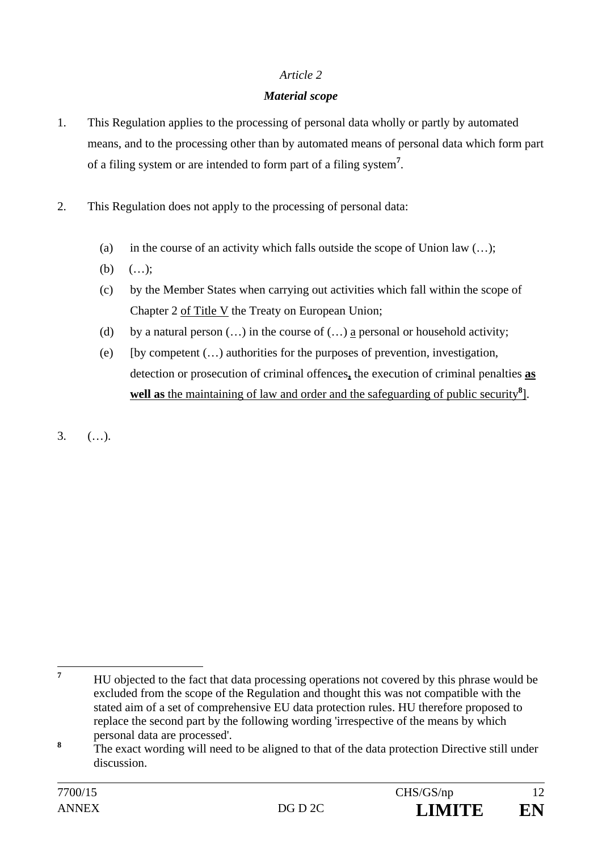### *Article 2*

### *Material scope*

- 1. This Regulation applies to the processing of personal data wholly or partly by automated means, and to the processing other than by automated means of personal data which form part of a filing system or are intended to form part of a filing system**<sup>7</sup>** .
- 2. This Regulation does not apply to the processing of personal data:
	- (a) in the course of an activity which falls outside the scope of Union law  $(...);$
	- (b)  $(...);$
	- (c) by the Member States when carrying out activities which fall within the scope of Chapter 2 of Title V the Treaty on European Union;
	- (d) by a natural person  $(...)$  in the course of  $(...)$  a personal or household activity;
	- (e) [by competent (…) authorities for the purposes of prevention, investigation, detection or prosecution of criminal offences**,** the execution of criminal penalties **as**  well as the maintaining of law and order and the safeguarding of public security<sup>8</sup>.
- $3.$   $($ ...).

 **7** HU objected to the fact that data processing operations not covered by this phrase would be excluded from the scope of the Regulation and thought this was not compatible with the stated aim of a set of comprehensive EU data protection rules. HU therefore proposed to replace the second part by the following wording 'irrespective of the means by which personal data are processed'.

**<sup>8</sup>** The exact wording will need to be aligned to that of the data protection Directive still under discussion.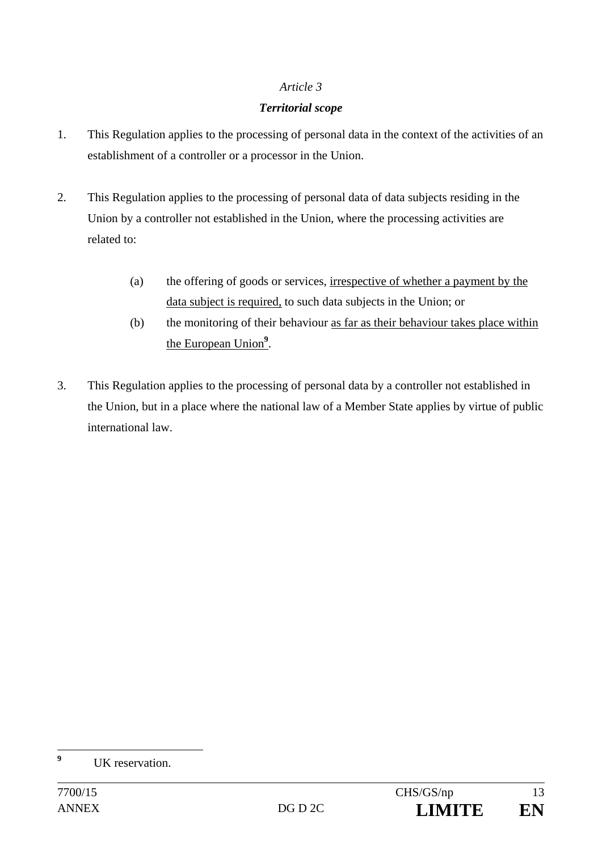#### *Article 3*

#### *Territorial scope*

- 1. This Regulation applies to the processing of personal data in the context of the activities of an establishment of a controller or a processor in the Union.
- 2. This Regulation applies to the processing of personal data of data subjects residing in the Union by a controller not established in the Union, where the processing activities are related to:
	- (a) the offering of goods or services, irrespective of whether a payment by the data subject is required, to such data subjects in the Union; or
	- (b) the monitoring of their behaviour as far as their behaviour takes place within the European Union**<sup>9</sup>** .
- 3. This Regulation applies to the processing of personal data by a controller not established in the Union, but in a place where the national law of a Member State applies by virtue of public international law.

 **9** UK reservation.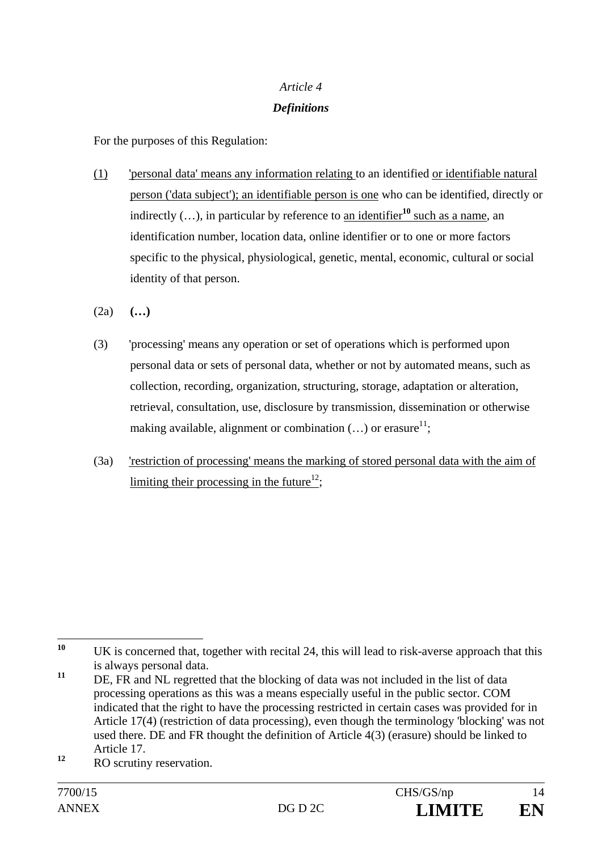# *Article 4 Definitions*

For the purposes of this Regulation:

- (1) 'personal data' means any information relating to an identified or identifiable natural person ('data subject'); an identifiable person is one who can be identified, directly or indirectly  $(...)$ , in particular by reference to an identifier<sup>10</sup> such as a name, an identification number, location data, online identifier or to one or more factors specific to the physical, physiological, genetic, mental, economic, cultural or social identity of that person.
- (2a) **(…)**
- (3) 'processing' means any operation or set of operations which is performed upon personal data or sets of personal data, whether or not by automated means, such as collection, recording, organization, structuring, storage, adaptation or alteration, retrieval, consultation, use, disclosure by transmission, dissemination or otherwise making available, alignment or combination  $(...)$  or erasure<sup>11</sup>;
- (3a) 'restriction of processing' means the marking of stored personal data with the aim of limiting their processing in the future<sup>12</sup>;

 $10$ UK is concerned that, together with recital 24, this will lead to risk-averse approach that this is always personal data.

<sup>&</sup>lt;sup>11</sup> DE, FR and NL regretted that the blocking of data was not included in the list of data processing operations as this was a means especially useful in the public sector. COM indicated that the right to have the processing restricted in certain cases was provided for in Article 17(4) (restriction of data processing), even though the terminology 'blocking' was not used there. DE and FR thought the definition of Article 4(3) (erasure) should be linked to Article 17.

<sup>&</sup>lt;sup>12</sup> RO scrutiny reservation.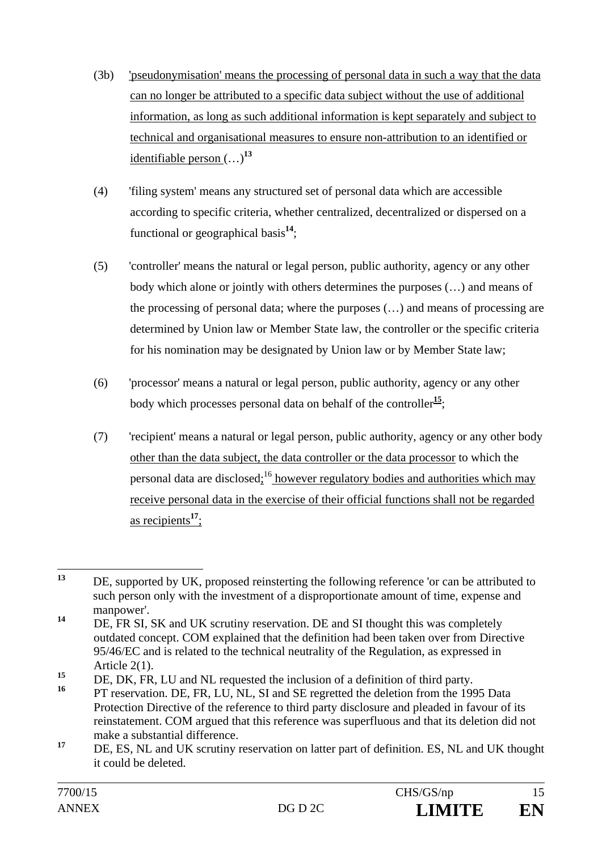- (3b) 'pseudonymisation' means the processing of personal data in such a way that the data can no longer be attributed to a specific data subject without the use of additional information, as long as such additional information is kept separately and subject to technical and organisational measures to ensure non-attribution to an identified or identifiable person (…)**<sup>13</sup>**
- (4) 'filing system' means any structured set of personal data which are accessible according to specific criteria, whether centralized, decentralized or dispersed on a functional or geographical basis**<sup>14</sup>** ;
- (5) 'controller' means the natural or legal person, public authority, agency or any other body which alone or jointly with others determines the purposes (…) and means of the processing of personal data; where the purposes (…) and means of processing are determined by Union law or Member State law, the controller or the specific criteria for his nomination may be designated by Union law or by Member State law;
- (6) 'processor' means a natural or legal person, public authority, agency or any other body which processes personal data on behalf of the controller**<sup>15</sup>**;
- (7) 'recipient' means a natural or legal person, public authority, agency or any other body other than the data subject, the data controller or the data processor to which the personal data are disclosed; $^{16}$  however regulatory bodies and authorities which may receive personal data in the exercise of their official functions shall not be regarded as recipients**<sup>17</sup>** ;

 $13$ **<sup>13</sup>** DE, supported by UK, proposed reinsterting the following reference 'or can be attributed to such person only with the investment of a disproportionate amount of time, expense and manpower'.

<sup>&</sup>lt;sup>14</sup> DE, FR SI, SK and UK scrutiny reservation. DE and SI thought this was completely outdated concept. COM explained that the definition had been taken over from Directive 95/46/EC and is related to the technical neutrality of the Regulation, as expressed in Article 2(1).

**<sup>15</sup>** DE, DK, FR, LU and NL requested the inclusion of a definition of third party.

PT reservation. DE, FR, LU, NL, SI and SE regretted the deletion from the 1995 Data Protection Directive of the reference to third party disclosure and pleaded in favour of its reinstatement. COM argued that this reference was superfluous and that its deletion did not make a substantial difference.

<sup>&</sup>lt;sup>17</sup> DE, ES, NL and UK scrutiny reservation on latter part of definition. ES, NL and UK thought it could be deleted.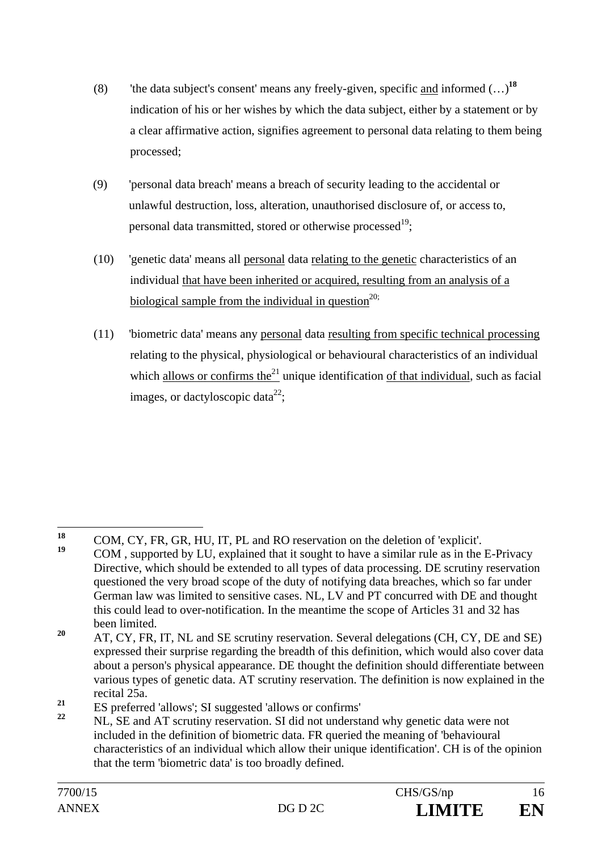- (8) 'the data subject's consent' means any freely-given, specific and informed (…)**<sup>18</sup>** indication of his or her wishes by which the data subject, either by a statement or by a clear affirmative action, signifies agreement to personal data relating to them being processed;
- (9) 'personal data breach' means a breach of security leading to the accidental or unlawful destruction, loss, alteration, unauthorised disclosure of, or access to, personal data transmitted, stored or otherwise processed<sup>19</sup>;
- (10) 'genetic data' means all personal data relating to the genetic characteristics of an individual that have been inherited or acquired, resulting from an analysis of a biological sample from the individual in question<sup>20;</sup>
- (11) 'biometric data' means any personal data resulting from specific technical processing relating to the physical, physiological or behavioural characteristics of an individual which allows or confirms the $21$  unique identification of that individual, such as facial images, or dactyloscopic data<sup>22</sup>;

<sup>18</sup> <sup>18</sup> COM, CY, FR, GR, HU, IT, PL and RO reservation on the deletion of 'explicit'. **<sup>19</sup>** COM , supported by LU, explained that it sought to have a similar rule as in the E-Privacy Directive, which should be extended to all types of data processing. DE scrutiny reservation questioned the very broad scope of the duty of notifying data breaches, which so far under German law was limited to sensitive cases. NL, LV and PT concurred with DE and thought this could lead to over-notification. In the meantime the scope of Articles 31 and 32 has been limited.

<sup>&</sup>lt;sup>20</sup> AT, CY, FR, IT, NL and SE scrutiny reservation. Several delegations (CH, CY, DE and SE) expressed their surprise regarding the breadth of this definition, which would also cover data about a person's physical appearance. DE thought the definition should differentiate between various types of genetic data. AT scrutiny reservation. The definition is now explained in the recital 25a.

<sup>&</sup>lt;sup>21</sup> ES preferred 'allows'; SI suggested 'allows or confirms'

**<sup>22</sup>** NL, SE and AT scrutiny reservation. SI did not understand why genetic data were not included in the definition of biometric data. FR queried the meaning of 'behavioural characteristics of an individual which allow their unique identification'. CH is of the opinion that the term 'biometric data' is too broadly defined.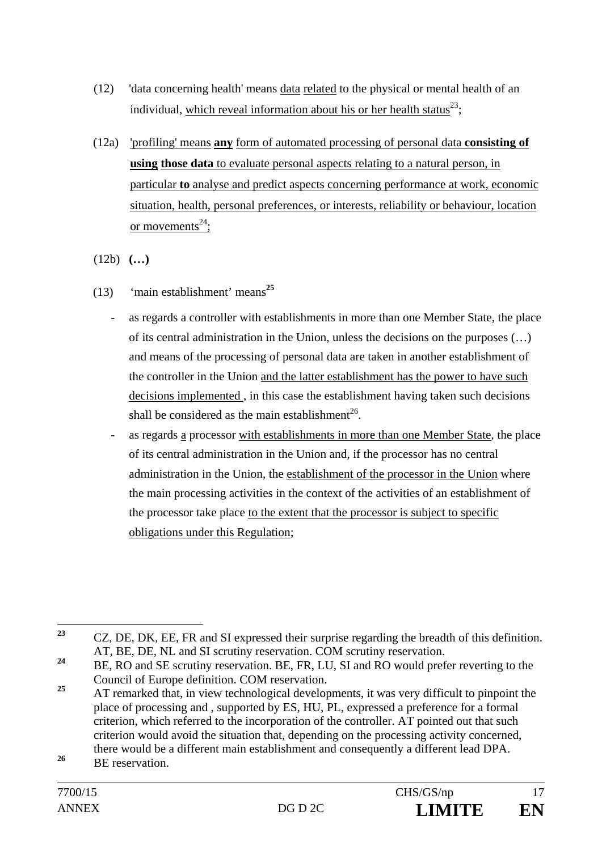- (12) 'data concerning health' means data related to the physical or mental health of an individual, which reveal information about his or her health status<sup>23</sup>;
- (12a) 'profiling' means **any** form of automated processing of personal data **consisting of using those data** to evaluate personal aspects relating to a natural person, in particular **to** analyse and predict aspects concerning performance at work, economic situation, health, personal preferences, or interests, reliability or behaviour, location or movements<sup>24</sup>;
- (12b) **(…)**
- (13) 'main establishment' means**<sup>25</sup>**
	- as regards a controller with establishments in more than one Member State, the place of its central administration in the Union, unless the decisions on the purposes  $(\ldots)$ and means of the processing of personal data are taken in another establishment of the controller in the Union and the latter establishment has the power to have such decisions implemented , in this case the establishment having taken such decisions shall be considered as the main establishment<sup>26</sup>.
	- as regards a processor with establishments in more than one Member State, the place of its central administration in the Union and, if the processor has no central administration in the Union, the establishment of the processor in the Union where the main processing activities in the context of the activities of an establishment of the processor take place to the extent that the processor is subject to specific obligations under this Regulation;

 $23$ **<sup>23</sup>** CZ, DE, DK, EE, FR and SI expressed their surprise regarding the breadth of this definition. AT, BE, DE, NL and SI scrutiny reservation. COM scrutiny reservation.

<sup>&</sup>lt;sup>24</sup> BE, RO and SE scrutiny reservation. BE, FR, LU, SI and RO would prefer reverting to the Council of Europe definition. COM reservation.

<sup>&</sup>lt;sup>25</sup> AT remarked that, in view technological developments, it was very difficult to pinpoint the place of processing and , supported by ES, HU, PL, expressed a preference for a formal criterion, which referred to the incorporation of the controller. AT pointed out that such criterion would avoid the situation that, depending on the processing activity concerned, there would be a different main establishment and consequently a different lead DPA.

<sup>&</sup>lt;sup>26</sup> BE reservation.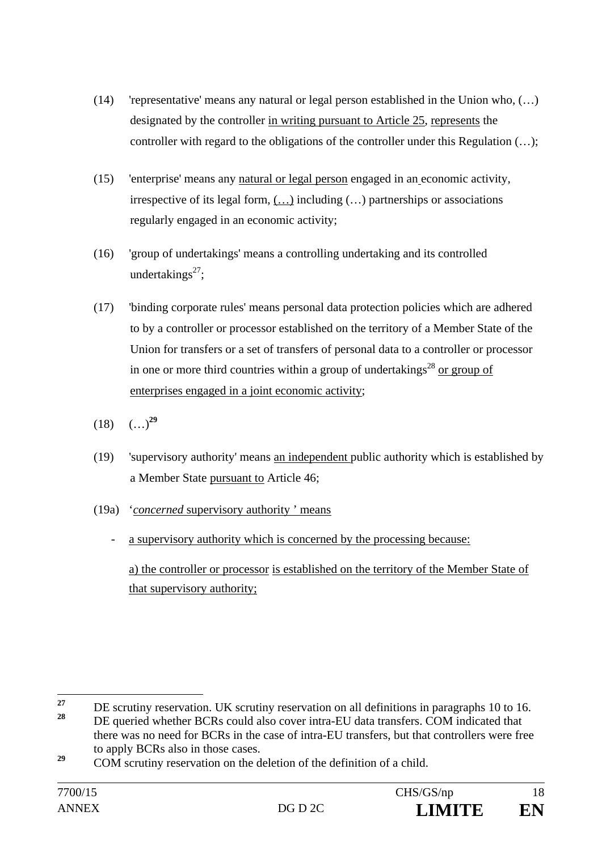- (14) 'representative' means any natural or legal person established in the Union who, (…) designated by the controller in writing pursuant to Article 25, represents the controller with regard to the obligations of the controller under this Regulation (…);
- (15) 'enterprise' means any natural or legal person engaged in an economic activity, irrespective of its legal form, (…) including (…) partnerships or associations regularly engaged in an economic activity;
- (16) 'group of undertakings' means a controlling undertaking and its controlled undertakings $27$ :
- (17) 'binding corporate rules' means personal data protection policies which are adhered to by a controller or processor established on the territory of a Member State of the Union for transfers or a set of transfers of personal data to a controller or processor in one or more third countries within a group of undertakings<sup>28</sup> or group of enterprises engaged in a joint economic activity;
- $(18)$   $(\ldots)^{29}$
- (19) 'supervisory authority' means an independent public authority which is established by a Member State pursuant to Article 46;
- (19a) '*concerned* supervisory authority ' means
	- a supervisory authority which is concerned by the processing because:

 a) the controller or processor is established on the territory of the Member State of that supervisory authority;

 $27$ <sup>27</sup> DE scrutiny reservation. UK scrutiny reservation on all definitions in paragraphs 10 to 16.<br><sup>28</sup> DE specied relative DCD special also acceptives EU data team free COM in liable d that **<sup>28</sup>** DE queried whether BCRs could also cover intra-EU data transfers. COM indicated that there was no need for BCRs in the case of intra-EU transfers, but that controllers were free

to apply BCRs also in those cases.

<sup>&</sup>lt;sup>29</sup> COM scrutiny reservation on the deletion of the definition of a child.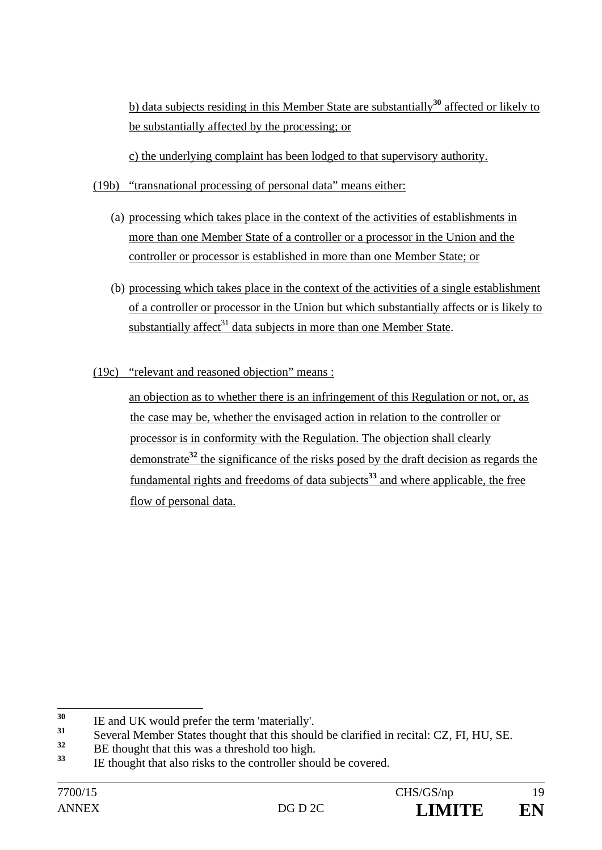b) data subjects residing in this Member State are substantially**<sup>30</sup>** affected or likely to be substantially affected by the processing; or

c) the underlying complaint has been lodged to that supervisory authority.

- (19b) "transnational processing of personal data" means either:
	- (a) processing which takes place in the context of the activities of establishments in more than one Member State of a controller or a processor in the Union and the controller or processor is established in more than one Member State; or
	- (b) processing which takes place in the context of the activities of a single establishment of a controller or processor in the Union but which substantially affects or is likely to substantially affect $31$  data subjects in more than one Member State.
- (19c) "relevant and reasoned objection" means :

an objection as to whether there is an infringement of this Regulation or not, or, as the case may be, whether the envisaged action in relation to the controller or processor is in conformity with the Regulation. The objection shall clearly demonstrate**<sup>32</sup>** the significance of the risks posed by the draft decision as regards the fundamental rights and freedoms of data subjects**<sup>33</sup>** and where applicable, the free flow of personal data.

 $30$ <sup>30</sup> IE and UK would prefer the term 'materially'.

<sup>&</sup>lt;sup>31</sup> Several Member States thought that this should be clarified in recital: CZ, FI, HU, SE.

 $\frac{32}{33}$  BE thought that this was a threshold too high.

**<sup>33</sup>** IE thought that also risks to the controller should be covered.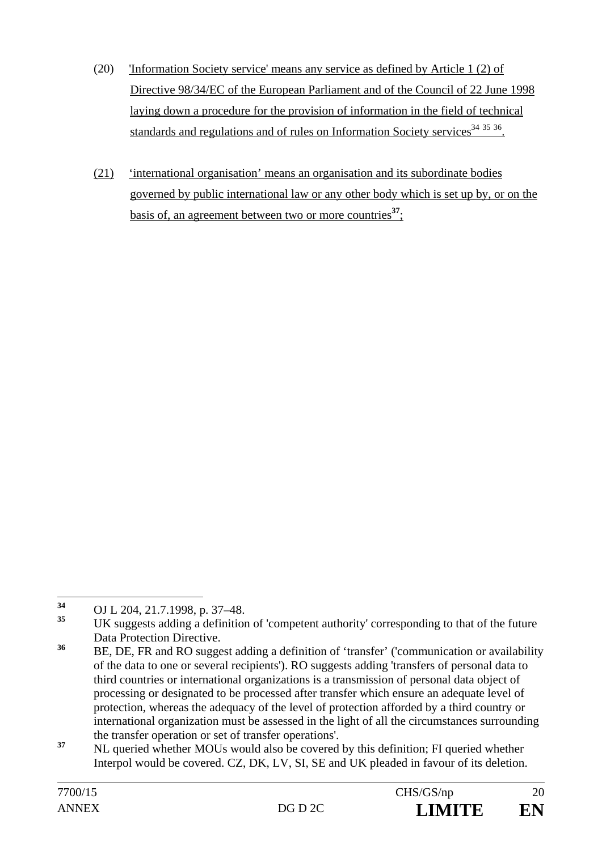- (20) 'Information Society service' means any service as defined by Article 1 (2) of Directive 98/34/EC of the European Parliament and of the Council of 22 June 1998 laying down a procedure for the provision of information in the field of technical standards and regulations and of rules on Information Society services<sup>34 35</sup> 36.
- (21) 'international organisation' means an organisation and its subordinate bodies governed by public international law or any other body which is set up by, or on the basis of, an agreement between two or more countries**<sup>37</sup>**;

<sup>34</sup> **<sup>34</sup>** OJ L 204, 21.7.1998, p. 37–48.

**<sup>35</sup>** UK suggests adding a definition of 'competent authority' corresponding to that of the future Data Protection Directive.

**<sup>36</sup>** BE, DE, FR and RO suggest adding a definition of 'transfer' ('communication or availability of the data to one or several recipients'). RO suggests adding 'transfers of personal data to third countries or international organizations is a transmission of personal data object of processing or designated to be processed after transfer which ensure an adequate level of protection, whereas the adequacy of the level of protection afforded by a third country or international organization must be assessed in the light of all the circumstances surrounding the transfer operation or set of transfer operations'.

<sup>&</sup>lt;sup>37</sup> NL queried whether MOUs would also be covered by this definition; FI queried whether Interpol would be covered. CZ, DK, LV, SI, SE and UK pleaded in favour of its deletion.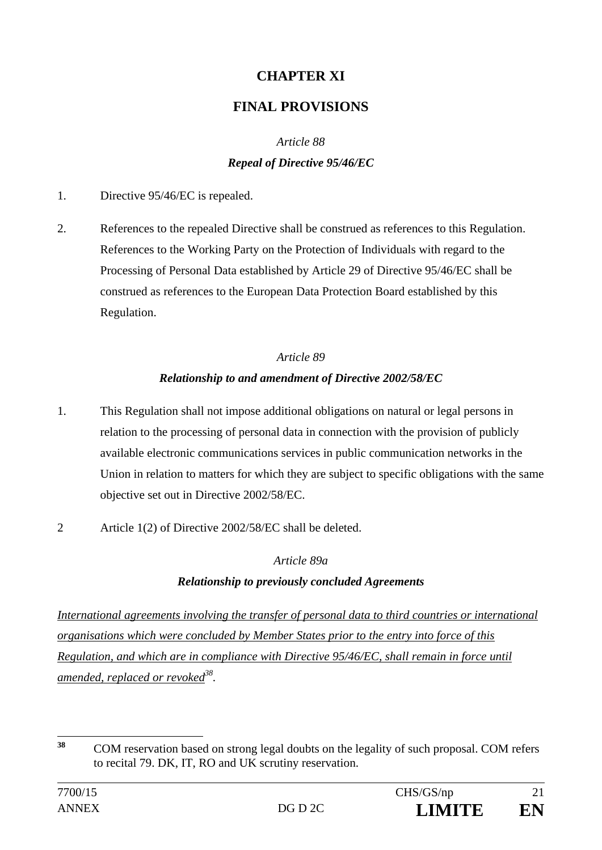# **CHAPTER XI**

# **FINAL PROVISIONS**

# *Article 88*

### *Repeal of Directive 95/46/EC*

- 1. Directive 95/46/EC is repealed.
- 2. References to the repealed Directive shall be construed as references to this Regulation. References to the Working Party on the Protection of Individuals with regard to the Processing of Personal Data established by Article 29 of Directive 95/46/EC shall be construed as references to the European Data Protection Board established by this Regulation.

# *Article 89 Relationship to and amendment of Directive 2002/58/EC*

- 1. This Regulation shall not impose additional obligations on natural or legal persons in relation to the processing of personal data in connection with the provision of publicly available electronic communications services in public communication networks in the Union in relation to matters for which they are subject to specific obligations with the same objective set out in Directive 2002/58/EC.
- 2 Article 1(2) of Directive 2002/58/EC shall be deleted.

## *Article 89a*

## *Relationship to previously concluded Agreements*

*International agreements involving the transfer of personal data to third countries or international organisations which were concluded by Member States prior to the entry into force of this Regulation, and which are in compliance with Directive 95/46/EC, shall remain in force until amended, replaced or revoked*<sup>38</sup>.

 $28$ **<sup>38</sup>** COM reservation based on strong legal doubts on the legality of such proposal. COM refers to recital 79. DK, IT, RO and UK scrutiny reservation.